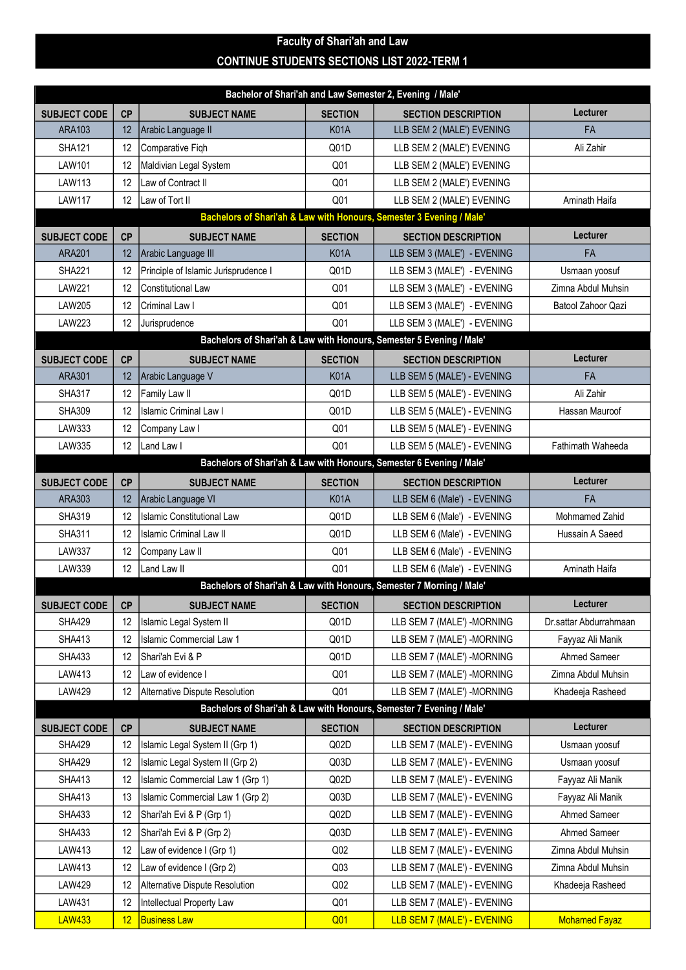## Faculty of Shari'ah and Law CONTINUE STUDENTS SECTIONS LIST 2022-TERM 1

| Bachelor of Shari'ah and Law Semester 2, Evening / Male'             |           |                                      |                  |                                                                      |                          |  |  |  |
|----------------------------------------------------------------------|-----------|--------------------------------------|------------------|----------------------------------------------------------------------|--------------------------|--|--|--|
| <b>SUBJECT CODE</b>                                                  | CP        | <b>SUBJECT NAME</b>                  | <b>SECTION</b>   | <b>SECTION DESCRIPTION</b>                                           | <b>Lecturer</b>          |  |  |  |
| <b>ARA103</b>                                                        | 12        | Arabic Language II                   | <b>K01A</b>      | LLB SEM 2 (MALE') EVENING                                            | FA                       |  |  |  |
| <b>SHA121</b>                                                        | 12        | Comparative Figh                     | Q01D             | LLB SEM 2 (MALE') EVENING                                            | Ali Zahir                |  |  |  |
| <b>LAW101</b>                                                        | 12        | Maldivian Legal System               | Q <sub>01</sub>  | LLB SEM 2 (MALE') EVENING                                            |                          |  |  |  |
| LAW113                                                               | 12        | Law of Contract II                   | Q <sub>01</sub>  | LLB SEM 2 (MALE') EVENING                                            |                          |  |  |  |
| <b>LAW117</b>                                                        | 12        | Law of Tort II                       | Q <sub>01</sub>  | LLB SEM 2 (MALE') EVENING                                            | Aminath Haifa            |  |  |  |
| Bachelors of Shari'ah & Law with Honours, Semester 3 Evening / Male' |           |                                      |                  |                                                                      |                          |  |  |  |
| <b>SUBJECT CODE</b>                                                  | CP        | <b>SUBJECT NAME</b>                  | <b>SECTION</b>   | <b>SECTION DESCRIPTION</b>                                           | Lecturer                 |  |  |  |
| <b>ARA201</b>                                                        | 12        | Arabic Language III                  | <b>K01A</b>      | LLB SEM 3 (MALE') - EVENING                                          | <b>FA</b>                |  |  |  |
| <b>SHA221</b>                                                        | 12        | Principle of Islamic Jurisprudence I | Q <sub>01D</sub> | LLB SEM 3 (MALE') - EVENING                                          | Usmaan yoosuf            |  |  |  |
| <b>LAW221</b>                                                        | 12        | <b>Constitutional Law</b>            | Q <sub>01</sub>  | LLB SEM 3 (MALE') - EVENING                                          | Zimna Abdul Muhsin       |  |  |  |
| <b>LAW205</b>                                                        | 12        | Criminal Law I                       | Q <sub>01</sub>  | LLB SEM 3 (MALE') - EVENING                                          | Batool Zahoor Qazi       |  |  |  |
| <b>LAW223</b>                                                        | 12        | Jurisprudence                        | Q01              | LLB SEM 3 (MALE') - EVENING                                          |                          |  |  |  |
|                                                                      |           |                                      |                  | Bachelors of Shari'ah & Law with Honours, Semester 5 Evening / Male' |                          |  |  |  |
| <b>SUBJECT CODE</b>                                                  | <b>CP</b> | <b>SUBJECT NAME</b>                  | <b>SECTION</b>   | <b>SECTION DESCRIPTION</b>                                           | <b>Lecturer</b>          |  |  |  |
| <b>ARA301</b>                                                        | 12        | Arabic Language V                    | <b>K01A</b>      | LLB SEM 5 (MALE') - EVENING                                          | <b>FA</b>                |  |  |  |
| <b>SHA317</b>                                                        | 12        | Family Law II                        | Q01D             | LLB SEM 5 (MALE') - EVENING                                          | Ali Zahir                |  |  |  |
| <b>SHA309</b>                                                        | 12        | <b>Islamic Criminal Law I</b>        | Q01D             | LLB SEM 5 (MALE') - EVENING                                          | Hassan Mauroof           |  |  |  |
| LAW333                                                               | 12        | Company Law I                        | Q <sub>01</sub>  | LLB SEM 5 (MALE') - EVENING                                          |                          |  |  |  |
| LAW335                                                               | 12        | Land Law I                           | Q <sub>01</sub>  | LLB SEM 5 (MALE') - EVENING                                          | <b>Fathimath Waheeda</b> |  |  |  |
|                                                                      |           |                                      |                  | Bachelors of Shari'ah & Law with Honours, Semester 6 Evening / Male' |                          |  |  |  |
| <b>SUBJECT CODE</b>                                                  | CP        | <b>SUBJECT NAME</b>                  | <b>SECTION</b>   | <b>SECTION DESCRIPTION</b>                                           | Lecturer                 |  |  |  |
| ARA303                                                               | 12        | Arabic Language VI                   | <b>K01A</b>      | LLB SEM 6 (Male') - EVENING                                          | <b>FA</b>                |  |  |  |
| <b>SHA319</b>                                                        | 12        | <b>Islamic Constitutional Law</b>    | Q01D             | LLB SEM 6 (Male') - EVENING                                          | Mohmamed Zahid           |  |  |  |
| <b>SHA311</b>                                                        | 12        | Islamic Criminal Law II              | Q <sub>01D</sub> | LLB SEM 6 (Male') - EVENING                                          | Hussain A Saeed          |  |  |  |
| <b>LAW337</b>                                                        | 12        | Company Law II                       | Q <sub>01</sub>  | LLB SEM 6 (Male') - EVENING                                          |                          |  |  |  |
| LAW339                                                               | 12        | Land Law II                          | Q01              | LLB SEM 6 (Male') - EVENING                                          | Aminath Haifa            |  |  |  |
|                                                                      |           |                                      |                  | Bachelors of Shari'ah & Law with Honours, Semester 7 Morning / Male' |                          |  |  |  |
| <b>SUBJECT CODE</b>                                                  | <b>CP</b> | <b>SUBJECT NAME</b>                  | <b>SECTION</b>   | <b>SECTION DESCRIPTION</b>                                           | Lecturer                 |  |  |  |
| <b>SHA429</b>                                                        | 12        | Islamic Legal System II              | Q01D             | LLB SEM 7 (MALE') -MORNING                                           | Dr.sattar Abdurrahmaan   |  |  |  |
| <b>SHA413</b>                                                        | 12        | <b>Islamic Commercial Law 1</b>      | Q01D             | LLB SEM 7 (MALE') -MORNING                                           | Fayyaz Ali Manik         |  |  |  |
| <b>SHA433</b>                                                        | 12        | Shari'ah Evi & P                     | Q01D             | LLB SEM 7 (MALE') -MORNING                                           | Ahmed Sameer             |  |  |  |
| LAW413                                                               | 12        | Law of evidence I                    | Q <sub>01</sub>  | LLB SEM 7 (MALE') -MORNING                                           | Zimna Abdul Muhsin       |  |  |  |
| LAW429                                                               | 12        | Alternative Dispute Resolution       | Q <sub>01</sub>  | LLB SEM 7 (MALE') -MORNING                                           | Khadeeja Rasheed         |  |  |  |
| Bachelors of Shari'ah & Law with Honours, Semester 7 Evening / Male' |           |                                      |                  |                                                                      |                          |  |  |  |
| <b>SUBJECT CODE</b>                                                  | CP        | <b>SUBJECT NAME</b>                  | <b>SECTION</b>   | <b>SECTION DESCRIPTION</b>                                           | Lecturer                 |  |  |  |
| <b>SHA429</b>                                                        | 12        | Islamic Legal System II (Grp 1)      | Q02D             | LLB SEM 7 (MALE') - EVENING                                          | Usmaan yoosuf            |  |  |  |
| <b>SHA429</b>                                                        | 12        | Islamic Legal System II (Grp 2)      | Q03D             | LLB SEM 7 (MALE') - EVENING                                          | Usmaan yoosuf            |  |  |  |
| <b>SHA413</b>                                                        | 12        | Islamic Commercial Law 1 (Grp 1)     | Q02D             | LLB SEM 7 (MALE') - EVENING                                          | Fayyaz Ali Manik         |  |  |  |
| <b>SHA413</b>                                                        | 13        | Islamic Commercial Law 1 (Grp 2)     | Q03D             | LLB SEM 7 (MALE') - EVENING                                          | Fayyaz Ali Manik         |  |  |  |
| <b>SHA433</b>                                                        | 12        | Shari'ah Evi & P (Grp 1)             | Q02D             | LLB SEM 7 (MALE') - EVENING                                          | Ahmed Sameer             |  |  |  |
| <b>SHA433</b>                                                        | 12        | Shari'ah Evi & P (Grp 2)             | Q03D             | LLB SEM 7 (MALE') - EVENING                                          | Ahmed Sameer             |  |  |  |
| LAW413                                                               | 12        | Law of evidence I (Grp 1)            | Q <sub>02</sub>  | LLB SEM 7 (MALE') - EVENING                                          | Zimna Abdul Muhsin       |  |  |  |
| LAW413                                                               | 12        | Law of evidence I (Grp 2)            | Q <sub>03</sub>  | LLB SEM 7 (MALE') - EVENING                                          | Zimna Abdul Muhsin       |  |  |  |
| <b>LAW429</b>                                                        | 12        | Alternative Dispute Resolution       | Q <sub>02</sub>  | LLB SEM 7 (MALE') - EVENING                                          | Khadeeja Rasheed         |  |  |  |
| LAW431                                                               | 12        | Intellectual Property Law            | Q <sub>01</sub>  | LLB SEM 7 (MALE') - EVENING                                          |                          |  |  |  |
| <b>LAW433</b>                                                        | 12        | <b>Business Law</b>                  | Q01              | LLB SEM 7 (MALE') - EVENING                                          | <b>Mohamed Fayaz</b>     |  |  |  |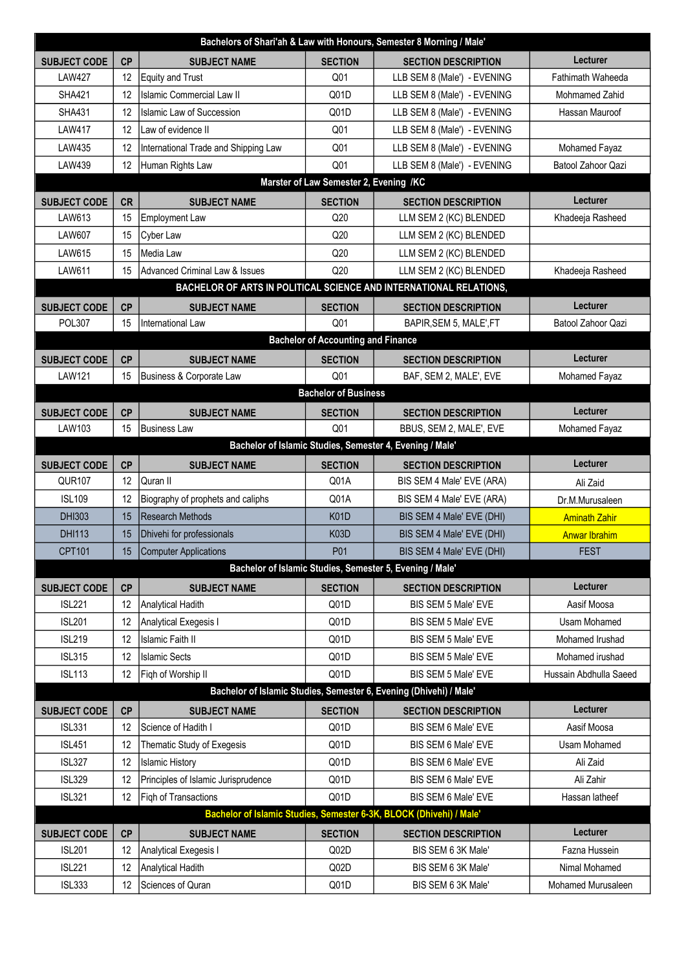| Bachelors of Shari'ah & Law with Honours, Semester 8 Morning / Male' |                                                                    |                                           |                                           |                                                                     |                          |  |  |  |
|----------------------------------------------------------------------|--------------------------------------------------------------------|-------------------------------------------|-------------------------------------------|---------------------------------------------------------------------|--------------------------|--|--|--|
| <b>SUBJECT CODE</b>                                                  | <b>CP</b>                                                          | <b>SUBJECT NAME</b>                       | <b>SECTION</b>                            | <b>SECTION DESCRIPTION</b>                                          | <b>Lecturer</b>          |  |  |  |
| <b>LAW427</b>                                                        | 12                                                                 | <b>Equity and Trust</b>                   | Q <sub>01</sub>                           | LLB SEM 8 (Male') - EVENING                                         | <b>Fathimath Waheeda</b> |  |  |  |
| <b>SHA421</b>                                                        | 12                                                                 | <b>Islamic Commercial Law II</b>          | Q01D                                      | LLB SEM 8 (Male') - EVENING                                         | Mohmamed Zahid           |  |  |  |
| <b>SHA431</b>                                                        | 12                                                                 | <b>Islamic Law of Succession</b>          | Q01D                                      | LLB SEM 8 (Male') - EVENING                                         | Hassan Mauroof           |  |  |  |
| <b>LAW417</b>                                                        | 12                                                                 | Law of evidence II                        | Q <sub>01</sub>                           | LLB SEM 8 (Male') - EVENING                                         |                          |  |  |  |
| LAW435                                                               | 12                                                                 | International Trade and Shipping Law      | Q <sub>01</sub>                           | LLB SEM 8 (Male') - EVENING                                         | Mohamed Fayaz            |  |  |  |
| LAW439                                                               | 12                                                                 | Human Rights Law                          | Q <sub>01</sub>                           | LLB SEM 8 (Male') - EVENING                                         | Batool Zahoor Qazi       |  |  |  |
| Marster of Law Semester 2, Evening /KC                               |                                                                    |                                           |                                           |                                                                     |                          |  |  |  |
| <b>SUBJECT CODE</b>                                                  | <b>CR</b>                                                          | <b>SUBJECT NAME</b>                       | <b>SECTION</b>                            | <b>SECTION DESCRIPTION</b>                                          | <b>Lecturer</b>          |  |  |  |
| LAW613                                                               | 15                                                                 | <b>Employment Law</b>                     | Q20                                       | LLM SEM 2 (KC) BLENDED                                              | Khadeeja Rasheed         |  |  |  |
| <b>LAW607</b>                                                        | 15                                                                 | Cyber Law                                 | Q20                                       | LLM SEM 2 (KC) BLENDED                                              |                          |  |  |  |
| LAW615                                                               | 15                                                                 | Media Law                                 | Q20                                       | LLM SEM 2 (KC) BLENDED                                              |                          |  |  |  |
| LAW611                                                               | 15                                                                 | <b>Advanced Criminal Law &amp; Issues</b> | Q20                                       | LLM SEM 2 (KC) BLENDED                                              | Khadeeja Rasheed         |  |  |  |
| BACHELOR OF ARTS IN POLITICAL SCIENCE AND INTERNATIONAL RELATIONS,   |                                                                    |                                           |                                           |                                                                     |                          |  |  |  |
| <b>SUBJECT CODE</b>                                                  | <b>CP</b>                                                          | <b>SUBJECT NAME</b>                       | <b>SECTION</b>                            | <b>SECTION DESCRIPTION</b>                                          | Lecturer                 |  |  |  |
| <b>POL307</b>                                                        | 15                                                                 | International Law                         | Q <sub>01</sub>                           | BAPIR, SEM 5, MALE', FT                                             | Batool Zahoor Qazi       |  |  |  |
|                                                                      |                                                                    |                                           | <b>Bachelor of Accounting and Finance</b> |                                                                     |                          |  |  |  |
| <b>SUBJECT CODE</b>                                                  | <b>CP</b>                                                          | <b>SUBJECT NAME</b>                       | <b>SECTION</b>                            | <b>SECTION DESCRIPTION</b>                                          | <b>Lecturer</b>          |  |  |  |
| <b>LAW121</b>                                                        | 15                                                                 | Business & Corporate Law                  | Q <sub>01</sub>                           | BAF, SEM 2, MALE', EVE                                              | Mohamed Fayaz            |  |  |  |
|                                                                      |                                                                    |                                           | <b>Bachelor of Business</b>               |                                                                     |                          |  |  |  |
| <b>SUBJECT CODE</b>                                                  | CP                                                                 | <b>SUBJECT NAME</b>                       | <b>SECTION</b>                            | <b>SECTION DESCRIPTION</b>                                          | <b>Lecturer</b>          |  |  |  |
| LAW103                                                               | 15                                                                 | <b>Business Law</b>                       | Q <sub>01</sub>                           | BBUS, SEM 2, MALE', EVE                                             | Mohamed Fayaz            |  |  |  |
|                                                                      |                                                                    |                                           |                                           | Bachelor of Islamic Studies, Semester 4, Evening / Male'            |                          |  |  |  |
| <b>SUBJECT CODE</b>                                                  | <b>CP</b>                                                          | <b>SUBJECT NAME</b>                       | <b>SECTION</b>                            | <b>SECTION DESCRIPTION</b>                                          | Lecturer                 |  |  |  |
| <b>QUR107</b>                                                        | 12                                                                 | Quran II                                  | Q01A                                      | BIS SEM 4 Male' EVE (ARA)                                           | Ali Zaid                 |  |  |  |
| <b>ISL109</b>                                                        | 12                                                                 | Biography of prophets and caliphs         | Q01A                                      | BIS SEM 4 Male' EVE (ARA)                                           | Dr.M.Murusaleen          |  |  |  |
| <b>DHI303</b>                                                        | 15                                                                 | <b>Research Methods</b>                   | K <sub>0</sub> 1D                         | BIS SEM 4 Male' EVE (DHI)                                           | <b>Aminath Zahir</b>     |  |  |  |
| <b>DHI113</b>                                                        | 15                                                                 | Dhivehi for professionals                 | <b>K03D</b>                               | BIS SEM 4 Male' EVE (DHI)                                           | <b>Anwar Ibrahim</b>     |  |  |  |
| <b>CPT101</b>                                                        | 15 <sub>15</sub>                                                   | Computer Applications                     | P01                                       | BIS SEM 4 Male' EVE (DHI)                                           | <b>FEST</b>              |  |  |  |
|                                                                      |                                                                    |                                           |                                           | Bachelor of Islamic Studies, Semester 5, Evening / Male'            |                          |  |  |  |
| <b>SUBJECT CODE</b>                                                  | <b>CP</b>                                                          | <b>SUBJECT NAME</b>                       | <b>SECTION</b>                            | <b>SECTION DESCRIPTION</b>                                          | Lecturer                 |  |  |  |
| <b>ISL221</b>                                                        | 12                                                                 | Analytical Hadith                         | Q01D                                      | BIS SEM 5 Male' EVE                                                 | Aasif Moosa              |  |  |  |
| <b>ISL201</b>                                                        | 12                                                                 | Analytical Exegesis I                     | Q01D                                      | BIS SEM 5 Male' EVE                                                 | Usam Mohamed             |  |  |  |
| <b>ISL219</b>                                                        | 12                                                                 | Islamic Faith II                          | Q01D                                      | BIS SEM 5 Male' EVE                                                 | Mohamed Irushad          |  |  |  |
| <b>ISL315</b>                                                        | 12                                                                 | <b>Islamic Sects</b>                      | Q01D                                      | BIS SEM 5 Male' EVE                                                 | Mohamed irushad          |  |  |  |
| <b>ISL113</b>                                                        | 12                                                                 | Figh of Worship II                        | Q01D                                      | BIS SEM 5 Male' EVE                                                 | Hussain Abdhulla Saeed   |  |  |  |
|                                                                      | Bachelor of Islamic Studies, Semester 6, Evening (Dhivehi) / Male' |                                           |                                           |                                                                     |                          |  |  |  |
| <b>SUBJECT CODE</b>                                                  | <b>CP</b>                                                          | <b>SUBJECT NAME</b>                       | <b>SECTION</b>                            | <b>SECTION DESCRIPTION</b>                                          | <b>Lecturer</b>          |  |  |  |
| <b>ISL331</b>                                                        | 12                                                                 | Science of Hadith I                       | Q01D                                      | BIS SEM 6 Male' EVE                                                 | Aasif Moosa              |  |  |  |
| <b>ISL451</b>                                                        | 12                                                                 | Thematic Study of Exegesis                | Q01D                                      | BIS SEM 6 Male' EVE                                                 | Usam Mohamed             |  |  |  |
| <b>ISL327</b>                                                        | 12                                                                 | <b>Islamic History</b>                    | Q01D                                      | BIS SEM 6 Male' EVE                                                 | Ali Zaid                 |  |  |  |
| <b>ISL329</b>                                                        | 12                                                                 | Principles of Islamic Jurisprudence       | Q01D                                      | BIS SEM 6 Male' EVE                                                 | Ali Zahir                |  |  |  |
| <b>ISL321</b>                                                        | 12                                                                 | Figh of Transactions                      | Q01D                                      | BIS SEM 6 Male' EVE                                                 | Hassan latheef           |  |  |  |
|                                                                      |                                                                    |                                           |                                           | Bachelor of Islamic Studies, Semester 6-3K, BLOCK (Dhivehi) / Male' |                          |  |  |  |
| <b>SUBJECT CODE</b>                                                  | <b>CP</b>                                                          | <b>SUBJECT NAME</b>                       | <b>SECTION</b>                            | <b>SECTION DESCRIPTION</b>                                          | Lecturer                 |  |  |  |
| <b>ISL201</b>                                                        | 12                                                                 | Analytical Exegesis I                     | Q02D                                      | BIS SEM 6 3K Male'                                                  | Fazna Hussein            |  |  |  |
| <b>ISL221</b>                                                        | 12                                                                 | <b>Analytical Hadith</b>                  | Q02D                                      | BIS SEM 6 3K Male'                                                  | Nimal Mohamed            |  |  |  |
| <b>ISL333</b>                                                        | 12                                                                 | Sciences of Quran                         | Q01D                                      | BIS SEM 6 3K Male'                                                  | Mohamed Murusaleen       |  |  |  |